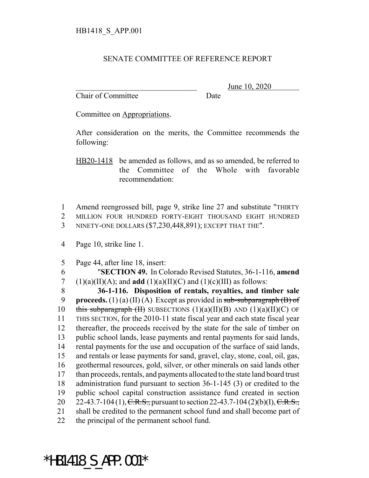## SENATE COMMITTEE OF REFERENCE REPORT

Chair of Committee Date

June 10, 2020

Committee on Appropriations.

After consideration on the merits, the Committee recommends the following:

HB20-1418 be amended as follows, and as so amended, be referred to the Committee of the Whole with favorable recommendation:

1 Amend reengrossed bill, page 9, strike line 27 and substitute "THIRTY 2 MILLION FOUR HUNDRED FORTY-EIGHT THOUSAND EIGHT HUNDRED 3 NINETY-ONE DOLLARS (\$7,230,448,891); EXCEPT THAT THE".

4 Page 10, strike line 1.

5 Page 44, after line 18, insert:

6 "**SECTION 49.** In Colorado Revised Statutes, 36-1-116, **amend** 7 (1)(a)(II)(A); and **add** (1)(a)(II)(C) and (1)(c)(III) as follows: 8 **36-1-116. Disposition of rentals, royalties, and timber sale**

 **proceeds.** (1) (a) (II) (A) Except as provided in sub-subparagraph (B) of 10 this subparagraph (II) SUBSECTIONS  $(1)(a)(II)(B)$  AND  $(1)(a)(II)(C)$  OF THIS SECTION, for the 2010-11 state fiscal year and each state fiscal year thereafter, the proceeds received by the state for the sale of timber on public school lands, lease payments and rental payments for said lands, rental payments for the use and occupation of the surface of said lands, and rentals or lease payments for sand, gravel, clay, stone, coal, oil, gas, geothermal resources, gold, silver, or other minerals on said lands other than proceeds, rentals, and payments allocated to the state land board trust administration fund pursuant to section 36-1-145 (3) or credited to the public school capital construction assistance fund created in section 20 22-43.7-104 (1),  $C.R.S.,$  pursuant to section 22-43.7-104 (2)(b)(I),  $C.R.S.,$  shall be credited to the permanent school fund and shall become part of the principal of the permanent school fund.

## \*HB1418\_S\_APP.001\*